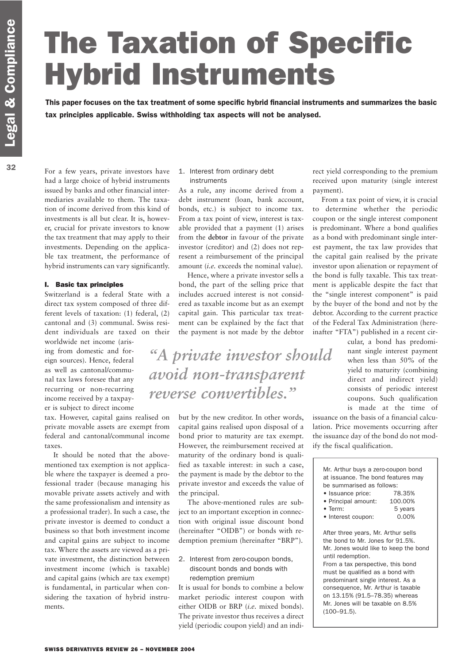# The Taxation of Specific Hybrid Instruments

This paper focuses on the tax treatment of some specific hybrid financial instruments and summarizes the basic tax principles applicable. Swiss withholding tax aspects will not be analysed.

For a few years, private investors have had a large choice of hybrid instruments issued by banks and other financial intermediaries available to them. The taxation of income derived from this kind of investments is all but clear. It is, however, crucial for private investors to know the tax treatment that may apply to their investments. Depending on the applicable tax treatment, the performance of hybrid instruments can vary significantly.

### I. Basic tax principles

Switzerland is a federal State with a direct tax system composed of three different levels of taxation: (1) federal, (2) cantonal and (3) communal. Swiss resident individuals are taxed on their

worldwide net income (arising from domestic and foreign sources). Hence, federal as well as cantonal/communal tax laws foresee that any recurring or non-recurring income received by a taxpayer is subject to direct income

tax. However, capital gains realised on private movable assets are exempt from federal and cantonal/communal income taxes.

It should be noted that the abovementioned tax exemption is not applicable where the taxpayer is deemed a professional trader (because managing his movable private assets actively and with the same professionalism and intensity as a professional trader). In such a case, the private investor is deemed to conduct a business so that both investment income and capital gains are subject to income tax. Where the assets are viewed as a private investment, the distinction between investment income (which is taxable) and capital gains (which are tax exempt) is fundamental, in particular when considering the taxation of hybrid instruments.

### 1. Interest from ordinary debt instruments

As a rule, any income derived from a debt instrument (loan, bank account, bonds, etc.) is subject to income tax. From a tax point of view, interest is taxable provided that a payment (1) arises from the **debtor** in favour of the private investor (creditor) and (2) does not represent a reimbursement of the principal amount (*i.e.* exceeds the nominal value).

Hence, where a private investor sells a bond, the part of the selling price that includes accrued interest is not considered as taxable income but as an exempt capital gain. This particular tax treatment can be explained by the fact that the payment is not made by the debtor

*"A private investor should avoid non-transparent reverse convertibles."*

> but by the new creditor. In other words, capital gains realised upon disposal of a bond prior to maturity are tax exempt. However, the reimbursement received at maturity of the ordinary bond is qualified as taxable interest: in such a case, the payment is made by the debtor to the private investor and exceeds the value of the principal.

> The above-mentioned rules are subject to an important exception in connection with original issue discount bond (hereinafter "OIDB") or bonds with redemption premium (hereinafter "BRP").

2. Interest from zero-coupon bonds, discount bonds and bonds with redemption premium

It is usual for bonds to combine a below market periodic interest coupon with either OIDB or BRP (*i.e.* mixed bonds). The private investor thus receives a direct yield (periodic coupon yield) and an indirect yield corresponding to the premium received upon maturity (single interest payment).

From a tax point of view, it is crucial to determine whether the periodic coupon or the single interest component is predominant. Where a bond qualifies as a bond with predominant single interest payment, the tax law provides that the capital gain realised by the private investor upon alienation or repayment of the bond is fully taxable. This tax treatment is applicable despite the fact that the "single interest component" is paid by the buyer of the bond and not by the debtor. According to the current practice of the Federal Tax Administration (hereinafter "FTA") published in a recent cir-

> cular, a bond has predominant single interest payment when less than 50% of the yield to maturity (combining direct and indirect yield) consists of periodic interest coupons. Such qualification is made at the time of

issuance on the basis of a financial calculation. Price movements occurring after the issuance day of the bond do not modify the fiscal qualification.

| Mr. Arthur buys a zero-coupon bond<br>at issuance. The bond features may<br>be summarised as follows: |         |
|-------------------------------------------------------------------------------------------------------|---------|
| • Issuance price:                                                                                     | 78.35%  |
| • Principal amount:                                                                                   | 100.00% |
| $\bullet$ Term:                                                                                       | 5 years |
| • Interest coupon:                                                                                    | 0.00%   |
| After three years, Mr. Arthur sells<br>the bond to Mr. Jones for 91.5%.                               |         |
|                                                                                                       |         |

Mr. Jones would like to keep the bond until redemption. From a tax perspective, this bond

must be qualified as a bond with predominant single interest. As a consequence, Mr. Arthur is taxable on 13.15% (91.5–78.35) whereas Mr. Jones will be taxable on 8.5% (100–91.5).